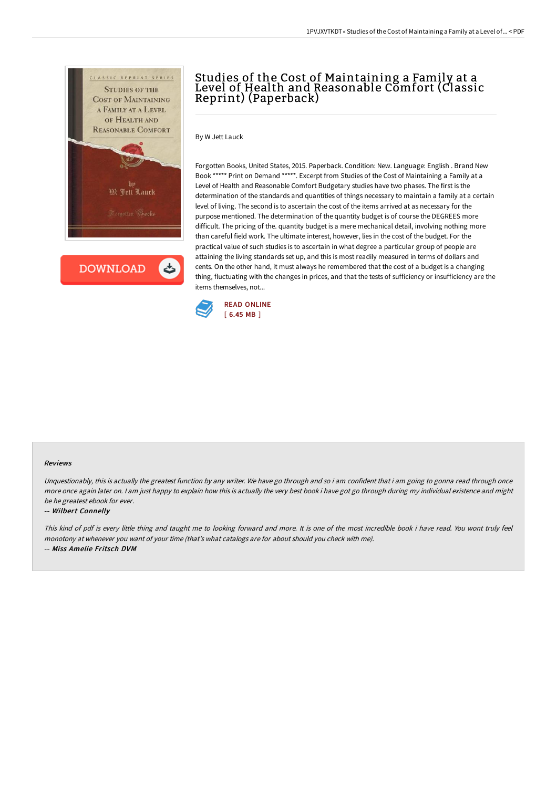

**DOWNLOAD** 

# Studies of the Cost of Maintaining a Family at a Level of Health and Reasonable Comfort (Classic Reprint) (Paperback)

By W Jett Lauck

Forgotten Books, United States, 2015. Paperback. Condition: New. Language: English . Brand New Book \*\*\*\*\* Print on Demand \*\*\*\*\*. Excerpt from Studies of the Cost of Maintaining a Family at a Level of Health and Reasonable Comfort Budgetary studies have two phases. The first is the determination of the standards and quantities of things necessary to maintain a family at a certain level of living. The second is to ascertain the cost of the items arrived at as necessary for the purpose mentioned. The determination of the quantity budget is of course the DEGREES more difficult. The pricing of the. quantity budget is a mere mechanical detail, involving nothing more than careful field work. The ultimate interest, however, lies in the cost of the budget. For the practical value of such studies is to ascertain in what degree a particular group of people are attaining the living standards set up, and this is most readily measured in terms of dollars and cents. On the other hand, it must always he remembered that the cost of a budget is a changing thing, fluctuating with the changes in prices, and that the tests of sufficiency or insufficiency are the items themselves, not...



#### Reviews

Unquestionably, this is actually the greatest function by any writer. We have go through and so i am confident that i am going to gonna read through once more once again later on. I am just happy to explain how this is actually the very best book i have got go through during my individual existence and might be he greatest ebook for ever.

#### -- Wilbert Connelly

This kind of pdf is every little thing and taught me to looking forward and more. It is one of the most incredible book i have read. You wont truly feel monotony at whenever you want of your time (that's what catalogs are for about should you check with me). -- Miss Amelie Fritsch DVM